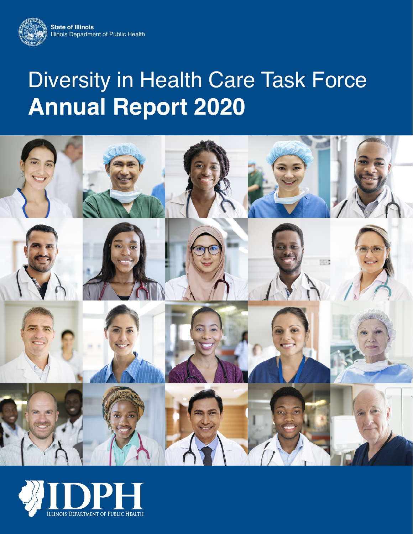

# Diversity in Health Care Task Force **Annual Report 2020**



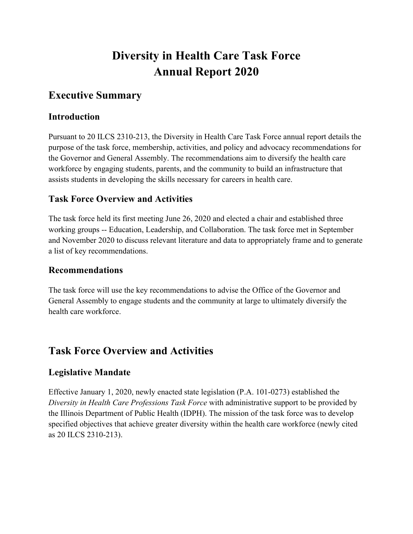## **Diversity in Health Care Task Force Annual Report 2020**

## **Executive Summary**

## **Introduction**

Pursuant to 20 ILCS 2310-213, the Diversity in Health Care Task Force annual report details the purpose of the task force, membership, activities, and policy and advocacy recommendations for the Governor and General Assembly. The recommendations aim to diversify the health care workforce by engaging students, parents, and the community to build an infrastructure that assists students in developing the skills necessary for careers in health care.

## **Task Force Overview and Activities**

The task force held its first meeting June 26, 2020 and elected a chair and established three working groups -- Education, Leadership, and Collaboration. The task force met in September and November 2020 to discuss relevant literature and data to appropriately frame and to generate a list of key recommendations.

## **Recommendations**

The task force will use the key recommendations to advise the Office of the Governor and General Assembly to engage students and the community at large to ultimately diversify the health care workforce.

## **Task Force Overview and Activities**

## **Legislative Mandate**

Effective January 1, 2020, newly enacted state legislation (P.A. 101-0273) established the *Diversity in Health Care Professions Task Force* with administrative support to be provided by the Illinois Department of Public Health (IDPH). The mission of the task force was to develop specified objectives that achieve greater diversity within the health care workforce (newly cited as 20 ILCS 2310-213).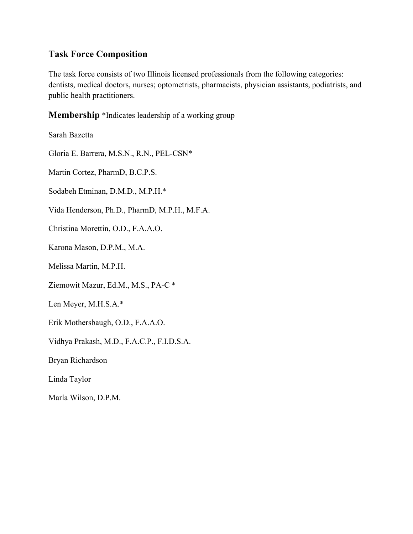#### **Task Force Composition**

The task force consists of two Illinois licensed professionals from the following categories: dentists, medical doctors, nurses; optometrists, pharmacists, physician assistants, podiatrists, and public health practitioners.

**Membership** \*Indicates leadership of a working group

Sarah Bazetta

Gloria E. Barrera, M.S.N., R.N., PEL-CSN\*

Martin Cortez, PharmD, B.C.P.S.

Sodabeh Etminan, D.M.D., M.P.H.\*

Vida Henderson, Ph.D., PharmD, M.P.H., M.F.A.

Christina Morettin, O.D., F.A.A.O.

Karona Mason, D.P.M., M.A.

Melissa Martin, M.P.H.

Ziemowit Mazur, Ed.M., M.S., PA-C \*

Len Meyer, M.H.S.A.\*

Erik Mothersbaugh, O.D., F.A.A.O.

Vidhya Prakash, M.D., F.A.C.P., F.I.D.S.A.

Bryan Richardson

Linda Taylor

Marla Wilson, D.P.M.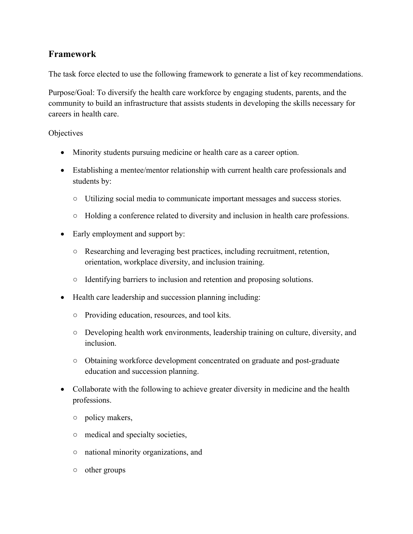## **Framework**

The task force elected to use the following framework to generate a list of key recommendations.

Purpose/Goal: To diversify the health care workforce by engaging students, parents, and the community to build an infrastructure that assists students in developing the skills necessary for careers in health care.

#### **Objectives**

- Minority students pursuing medicine or health care as a career option.
- Establishing a mentee/mentor relationship with current health care professionals and students by:
	- Utilizing social media to communicate important messages and success stories.
	- Holding a conference related to diversity and inclusion in health care professions.
- Early employment and support by:
	- Researching and leveraging best practices, including recruitment, retention, orientation, workplace diversity, and inclusion training.
	- Identifying barriers to inclusion and retention and proposing solutions.
- Health care leadership and succession planning including:
	- Providing education, resources, and tool kits.
	- Developing health work environments, leadership training on culture, diversity, and inclusion.
	- Obtaining workforce development concentrated on graduate and post-graduate education and succession planning.
- Collaborate with the following to achieve greater diversity in medicine and the health professions.
	- policy makers,
	- medical and specialty societies,
	- national minority organizations, and
	- other groups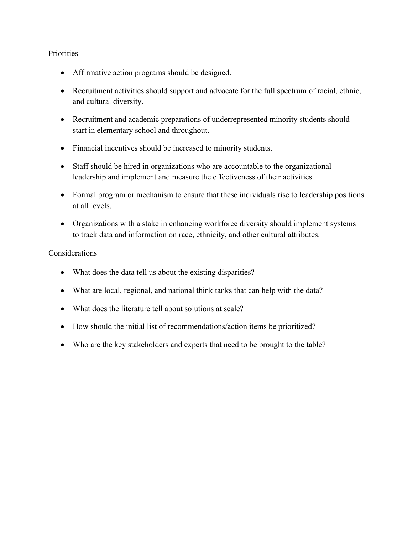#### **Priorities**

- Affirmative action programs should be designed.
- Recruitment activities should support and advocate for the full spectrum of racial, ethnic, and cultural diversity.
- Recruitment and academic preparations of underrepresented minority students should start in elementary school and throughout.
- Financial incentives should be increased to minority students.
- Staff should be hired in organizations who are accountable to the organizational leadership and implement and measure the effectiveness of their activities.
- Formal program or mechanism to ensure that these individuals rise to leadership positions at all levels.
- Organizations with a stake in enhancing workforce diversity should implement systems to track data and information on race, ethnicity, and other cultural attributes.

#### Considerations

- What does the data tell us about the existing disparities?
- What are local, regional, and national think tanks that can help with the data?
- What does the literature tell about solutions at scale?
- How should the initial list of recommendations/action items be prioritized?
- Who are the key stakeholders and experts that need to be brought to the table?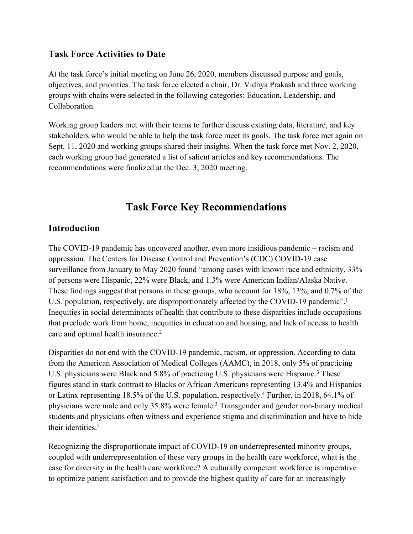#### **Task Force Activities to Date**

At the task force's initial meeting on June 26, 2020, members discussed purpose and goals, objectives, and priorities. The task force elected a chair, Dr. Vidhya Prakash and three working groups with chairs were selected in the following categories: Education, Leadership, and Collaboration.

Working group leaders met with their teams to further discuss existing data, literature, and key stakeholders who would be able to help the task force meet its goals. The task force met again on Sept. 11, 2020 and working groups shared their insights. When the task force met Nov. 2, 2020, each working group had generated a list of salient articles and key recommendations. The recommendations were finalized at the Dec. 3, 2020 meeting.

## **Task Force Key Recommendations**

#### **Introduction**

The COVID-19 pandemic has uncovered another, even more insidious pandemic – racism and oppression. The Centers for Disease Control and Prevention's (CDC) COVID-19 case surveillance from January to May 2020 found "among cases with known race and ethnicity, 33% of persons were Hispanic, 22% were Black, and 1.3% were American Indian/Alaska Native. These findings suggest that persons in these groups, who account for 18%, 13%, and 0.7% of the U.S. population, respectively, are disproportionately affected by the COVID-19 pandemic".<sup>1</sup> Inequities in social determinants of health that contribute to these disparities include occupations that preclude work from home, inequities in education and housing, and lack of access to health care and optimal health insurance.<sup>2</sup>

Disparities do not end with the COVID-19 pandemic, racism, or oppression. According to data from the American Association of Medical Colleges (AAMC), in 2018, only 5% of practicing U.S. physicians were Black and 5.8% of practicing U.S. physicians were Hispanic.<sup>3</sup> These figures stand in stark contrast to Blacks or African Americans representing 13.4% and Hispanics or Latinx representing 18.5% of the U.S. population, respectively.4 Further, in 2018, 64.1% of physicians were male and only 35.8% were female.3 Transgender and gender non-binary medical students and physicians often witness and experience stigma and discrimination and have to hide their identities.<sup>5</sup>

Recognizing the disproportionate impact of COVID-19 on underrepresented minority groups, coupled with underrepresentation of these very groups in the health care workforce, what is the case for diversity in the health care workforce? A culturally competent workforce is imperative to optimize patient satisfaction and to provide the highest quality of care for an increasingly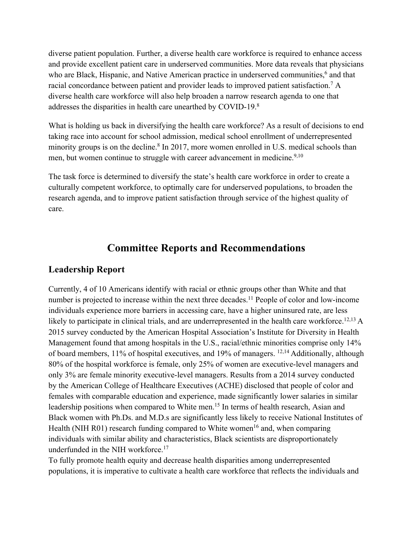diverse patient population. Further, a diverse health care workforce is required to enhance access and provide excellent patient care in underserved communities. More data reveals that physicians who are Black, Hispanic, and Native American practice in underserved communities,<sup>6</sup> and that racial concordance between patient and provider leads to improved patient satisfaction.7 A diverse health care workforce will also help broaden a narrow research agenda to one that addresses the disparities in health care unearthed by COVID-19.8

What is holding us back in diversifying the health care workforce? As a result of decisions to end taking race into account for school admission, medical school enrollment of underrepresented minority groups is on the decline.<sup>8</sup> In 2017, more women enrolled in U.S. medical schools than men, but women continue to struggle with career advancement in medicine.<sup>9,10</sup>

The task force is determined to diversify the state's health care workforce in order to create a culturally competent workforce, to optimally care for underserved populations, to broaden the research agenda, and to improve patient satisfaction through service of the highest quality of care.

## **Committee Reports and Recommendations**

## **Leadership Report**

Currently, 4 of 10 Americans identify with racial or ethnic groups other than White and that number is projected to increase within the next three decades.<sup>11</sup> People of color and low-income individuals experience more barriers in accessing care, have a higher uninsured rate, are less likely to participate in clinical trials, and are underrepresented in the health care workforce.<sup>12,13</sup> A 2015 survey conducted by the American Hospital Association's Institute for Diversity in Health Management found that among hospitals in the U.S., racial/ethnic minorities comprise only 14% of board members, 11% of hospital executives, and 19% of managers. 12,14 Additionally, although 80% of the hospital workforce is female, only 25% of women are executive-level managers and only 3% are female minority executive-level managers. Results from a 2014 survey conducted by the American College of Healthcare Executives (ACHE) disclosed that people of color and females with comparable education and experience, made significantly lower salaries in similar leadership positions when compared to White men.<sup>15</sup> In terms of health research, Asian and Black women with Ph.Ds. and M.D.s are significantly less likely to receive National Institutes of Health (NIH R01) research funding compared to White women<sup>16</sup> and, when comparing individuals with similar ability and characteristics, Black scientists are disproportionately underfunded in the NIH workforce.<sup>17</sup>

To fully promote health equity and decrease health disparities among underrepresented populations, it is imperative to cultivate a health care workforce that reflects the individuals and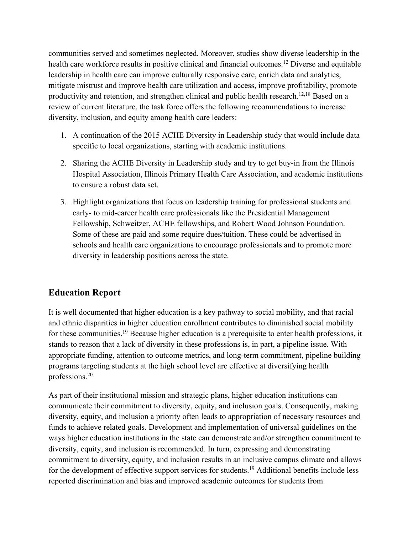communities served and sometimes neglected. Moreover, studies show diverse leadership in the health care workforce results in positive clinical and financial outcomes.<sup>12</sup> Diverse and equitable leadership in health care can improve culturally responsive care, enrich data and analytics, mitigate mistrust and improve health care utilization and access, improve profitability, promote productivity and retention, and strengthen clinical and public health research.<sup>12,18</sup> Based on a review of current literature, the task force offers the following recommendations to increase diversity, inclusion, and equity among health care leaders:

- 1. A continuation of the 2015 ACHE Diversity in Leadership study that would include data specific to local organizations, starting with academic institutions.
- 2. Sharing the ACHE Diversity in Leadership study and try to get buy-in from the Illinois Hospital Association, Illinois Primary Health Care Association, and academic institutions to ensure a robust data set.
- 3. Highlight organizations that focus on leadership training for professional students and early- to mid-career health care professionals like the Presidential Management Fellowship, Schweitzer, ACHE fellowships, and Robert Wood Johnson Foundation. Some of these are paid and some require dues/tuition. These could be advertised in schools and health care organizations to encourage professionals and to promote more diversity in leadership positions across the state.

## **Education Report**

It is well documented that higher education is a key pathway to social mobility, and that racial and ethnic disparities in higher education enrollment contributes to diminished social mobility for these communities.<sup>19</sup> Because higher education is a prerequisite to enter health professions, it stands to reason that a lack of diversity in these professions is, in part, a pipeline issue. With appropriate funding, attention to outcome metrics, and long-term commitment, pipeline building programs targeting students at the high school level are effective at diversifying health professions.20

As part of their institutional mission and strategic plans, higher education institutions can communicate their commitment to diversity, equity, and inclusion goals. Consequently, making diversity, equity, and inclusion a priority often leads to appropriation of necessary resources and funds to achieve related goals. Development and implementation of universal guidelines on the ways higher education institutions in the state can demonstrate and/or strengthen commitment to diversity, equity, and inclusion is recommended. In turn, expressing and demonstrating commitment to diversity, equity, and inclusion results in an inclusive campus climate and allows for the development of effective support services for students.<sup>19</sup> Additional benefits include less reported discrimination and bias and improved academic outcomes for students from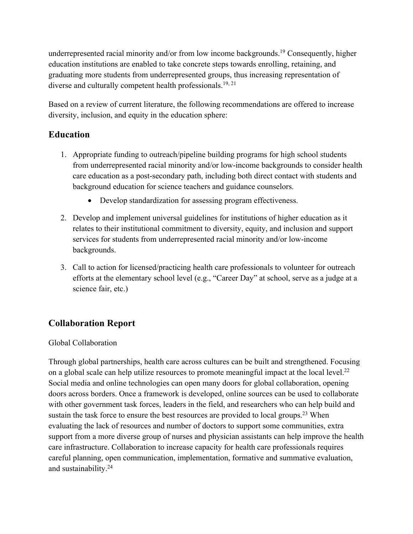underrepresented racial minority and/or from low income backgrounds.<sup>19</sup> Consequently, higher education institutions are enabled to take concrete steps towards enrolling, retaining, and graduating more students from underrepresented groups, thus increasing representation of diverse and culturally competent health professionals.<sup>19, 21</sup>

Based on a review of current literature, the following recommendations are offered to increase diversity, inclusion, and equity in the education sphere:

## **Education**

- 1. Appropriate funding to outreach/pipeline building programs for high school students from underrepresented racial minority and/or low-income backgrounds to consider health care education as a post-secondary path, including both direct contact with students and background education for science teachers and guidance counselors.
	- Develop standardization for assessing program effectiveness.
- 2. Develop and implement universal guidelines for institutions of higher education as it relates to their institutional commitment to diversity, equity, and inclusion and support services for students from underrepresented racial minority and/or low-income backgrounds.
- 3. Call to action for licensed/practicing health care professionals to volunteer for outreach efforts at the elementary school level (e.g., "Career Day" at school, serve as a judge at a science fair, etc.)

## **Collaboration Report**

#### Global Collaboration

Through global partnerships, health care across cultures can be built and strengthened. Focusing on a global scale can help utilize resources to promote meaningful impact at the local level.<sup>22</sup> Social media and online technologies can open many doors for global collaboration, opening doors across borders. Once a framework is developed, online sources can be used to collaborate with other government task forces, leaders in the field, and researchers who can help build and sustain the task force to ensure the best resources are provided to local groups.<sup>23</sup> When evaluating the lack of resources and number of doctors to support some communities, extra support from a more diverse group of nurses and physician assistants can help improve the health care infrastructure. Collaboration to increase capacity for health care professionals requires careful planning, open communication, implementation, formative and summative evaluation, and sustainability.24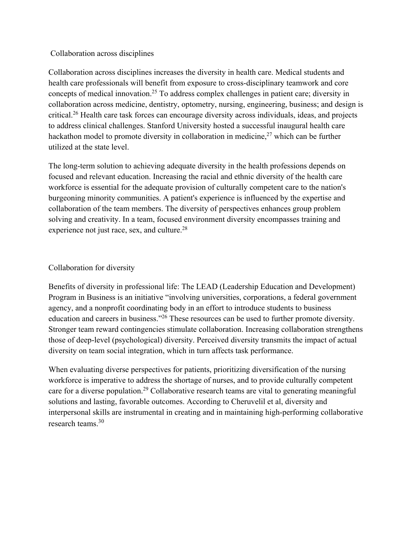#### Collaboration across disciplines

Collaboration across disciplines increases the diversity in health care. Medical students and health care professionals will benefit from exposure to cross-disciplinary teamwork and core concepts of medical innovation.25 To address complex challenges in patient care; diversity in collaboration across medicine, dentistry, optometry, nursing, engineering, business; and design is critical.26 Health care task forces can encourage diversity across individuals, ideas, and projects to address clinical challenges. Stanford University hosted a successful inaugural health care hackathon model to promote diversity in collaboration in medicine,<sup>27</sup> which can be further utilized at the state level.

The long-term solution to achieving adequate diversity in the health professions depends on focused and relevant education. Increasing the racial and ethnic diversity of the health care workforce is essential for the adequate provision of culturally competent care to the nation's burgeoning minority communities. A patient's experience is influenced by the expertise and collaboration of the team members. The diversity of perspectives enhances group problem solving and creativity. In a team, focused environment diversity encompasses training and experience not just race, sex, and culture.<sup>28</sup>

#### Collaboration for diversity

Benefits of diversity in professional life: The LEAD (Leadership Education and Development) Program in Business is an initiative "involving universities, corporations, a federal government agency, and a nonprofit coordinating body in an effort to introduce students to business education and careers in business."<sup>26</sup> These resources can be used to further promote diversity. Stronger team reward contingencies stimulate collaboration. Increasing collaboration strengthens those of deep-level (psychological) diversity. Perceived diversity transmits the impact of actual diversity on team social integration, which in turn affects task performance.

When evaluating diverse perspectives for patients, prioritizing diversification of the nursing workforce is imperative to address the shortage of nurses, and to provide culturally competent care for a diverse population.<sup>29</sup> Collaborative research teams are vital to generating meaningful solutions and lasting, favorable outcomes. According to Cheruvelil et al, diversity and interpersonal skills are instrumental in creating and in maintaining high‐performing collaborative research teams.<sup>30</sup>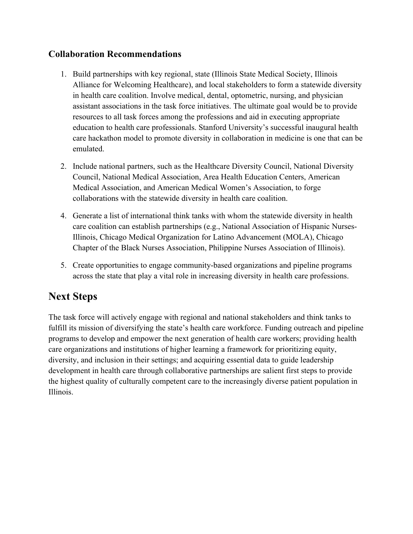## **Collaboration Recommendations**

- 1. Build partnerships with key regional, state (Illinois State Medical Society, Illinois Alliance for Welcoming Healthcare), and local stakeholders to form a statewide diversity in health care coalition. Involve medical, dental, optometric, nursing, and physician assistant associations in the task force initiatives. The ultimate goal would be to provide resources to all task forces among the professions and aid in executing appropriate education to health care professionals. Stanford University's successful inaugural health care hackathon model to promote diversity in collaboration in medicine is one that can be emulated.
- 2. Include national partners, such as the Healthcare Diversity Council, National Diversity Council, National Medical Association, Area Health Education Centers, American Medical Association, and American Medical Women's Association, to forge collaborations with the statewide diversity in health care coalition.
- 4. Generate a list of international think tanks with whom the statewide diversity in health care coalition can establish partnerships (e.g., National Association of Hispanic Nurses-Illinois, Chicago Medical Organization for Latino Advancement (MOLA), Chicago Chapter of the Black Nurses Association, Philippine Nurses Association of Illinois).
- 5. Create opportunities to engage community-based organizations and pipeline programs across the state that play a vital role in increasing diversity in health care professions.

## **Next Steps**

The task force will actively engage with regional and national stakeholders and think tanks to fulfill its mission of diversifying the state's health care workforce. Funding outreach and pipeline programs to develop and empower the next generation of health care workers; providing health care organizations and institutions of higher learning a framework for prioritizing equity, diversity, and inclusion in their settings; and acquiring essential data to guide leadership development in health care through collaborative partnerships are salient first steps to provide the highest quality of culturally competent care to the increasingly diverse patient population in Illinois.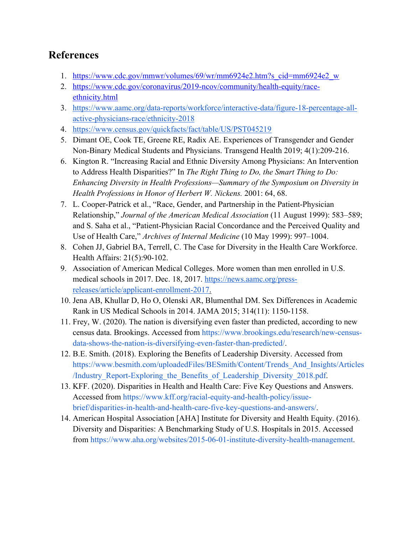## **References**

- 1. https://www.cdc.gov/mmwr/volumes/69/wr/mm6924e2.htm?s\_cid=mm6924e2\_w
- 2. https://www.cdc.gov/coronavirus/2019-ncov/community/health-equity/raceethnicity.html
- 3. https://www.aamc.org/data-reports/workforce/interactive-data/figure-18-percentage-allactive-physicians-race/ethnicity-2018
- 4. https://www.census.gov/quickfacts/fact/table/US/PST045219
- 5. Dimant OE, Cook TE, Greene RE, Radix AE. Experiences of Transgender and Gender Non-Binary Medical Students and Physicians. Transgend Health 2019; 4(1):209-216.
- 6. Kington R. "Increasing Racial and Ethnic Diversity Among Physicians: An Intervention to Address Health Disparities?" In *The Right Thing to Do, the Smart Thing to Do: Enhancing Diversity in Health Professions—Summary of the Symposium on Diversity in Health Professions in Honor of Herbert W. Nickens.* 2001: 64, 68.
- 7. L. Cooper-Patrick et al., "Race, Gender, and Partnership in the Patient-Physician Relationship," *Journal of the American Medical Association* (11 August 1999): 583–589; and S. Saha et al., "Patient-Physician Racial Concordance and the Perceived Quality and Use of Health Care," *Archives of Internal Medicine* (10 May 1999): 997–1004.
- 8. Cohen JJ, Gabriel BA, Terrell, C. The Case for Diversity in the Health Care Workforce. Health Affairs: 21(5):90-102.
- 9. Association of American Medical Colleges. More women than men enrolled in U.S. medical schools in 2017. Dec. 18, 2017. https://news.aamc.org/pressreleases/article/applicant-enrollment-2017.
- 10. Jena AB, Khullar D, Ho O, Olenski AR, Blumenthal DM. Sex Differences in Academic Rank in US Medical Schools in 2014. JAMA 2015; 314(11): 1150-1158.
- 11. Frey, W. (2020). The nation is diversifying even faster than predicted, according to new census data. Brookings. Accessed from https://www.brookings.edu/research/new-censusdata-shows-the-nation-is-diversifying-even-faster-than-predicted/.
- 12. B.E. Smith. (2018). Exploring the Benefits of Leadership Diversity. Accessed from https://www.besmith.com/uploadedFiles/BESmith/Content/Trends\_And\_Insights/Articles /Industry\_Report-Exploring\_the\_Benefits\_of\_Leadership\_Diversity\_2018.pdf.
- 13. KFF. (2020). Disparities in Health and Health Care: Five Key Questions and Answers. Accessed from https://www.kff.org/racial-equity-and-health-policy/issuebrief/disparities-in-health-and-health-care-five-key-questions-and-answers/.
- 14. American Hospital Association [AHA] Institute for Diversity and Health Equity. (2016). Diversity and Disparities: A Benchmarking Study of U.S. Hospitals in 2015. Accessed from https://www.aha.org/websites/2015-06-01-institute-diversity-health-management.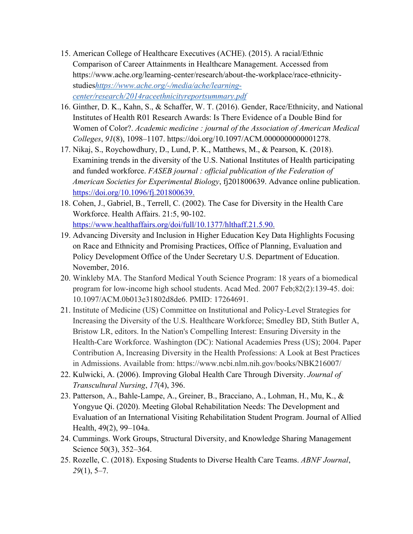- 15. American College of Healthcare Executives (ACHE). (2015). A racial/Ethnic Comparison of Career Attainments in Healthcare Management. Accessed from https://www.ache.org/learning-center/research/about-the-workplace/race-ethnicitystudies*https://www.ache.org/-/media/ache/learningcenter/research/2014raceethnicityreportsummary.pdf*
- 16. Ginther, D. K., Kahn, S., & Schaffer, W. T. (2016). Gender, Race/Ethnicity, and National Institutes of Health R01 Research Awards: Is There Evidence of a Double Bind for Women of Color?. *Academic medicine : journal of the Association of American Medical Colleges*, *91*(8), 1098–1107. https://doi.org/10.1097/ACM.0000000000001278.
- 17. Nikaj, S., Roychowdhury, D., Lund, P. K., Matthews, M., & Pearson, K. (2018). Examining trends in the diversity of the U.S. National Institutes of Health participating and funded workforce. *FASEB journal : official publication of the Federation of American Societies for Experimental Biology*, fj201800639. Advance online publication. https://doi.org/10.1096/fj.201800639.
- 18. Cohen, J., Gabriel, B., Terrell, C. (2002). The Case for Diversity in the Health Care Workforce. Health Affairs. 21:5, 90-102. https://www.healthaffairs.org/doi/full/10.1377/hlthaff.21.5.90.
- 19. Advancing Diversity and Inclusion in Higher Education Key Data Highlights Focusing on Race and Ethnicity and Promising Practices, Office of Planning, Evaluation and Policy Development Office of the Under Secretary U.S. Department of Education. November, 2016.
- 20. Winkleby MA. The Stanford Medical Youth Science Program: 18 years of a biomedical program for low-income high school students. Acad Med. 2007 Feb;82(2):139-45. doi: 10.1097/ACM.0b013e31802d8de6. PMID: 17264691.
- 21. Institute of Medicine (US) Committee on Institutional and Policy-Level Strategies for Increasing the Diversity of the U.S. Healthcare Workforce; Smedley BD, Stith Butler A, Bristow LR, editors. In the Nation's Compelling Interest: Ensuring Diversity in the Health-Care Workforce. Washington (DC): National Academies Press (US); 2004. Paper Contribution A, Increasing Diversity in the Health Professions: A Look at Best Practices in Admissions. Available from: https://www.ncbi.nlm.nih.gov/books/NBK216007/
- 22. Kulwicki, A. (2006). Improving Global Health Care Through Diversity. *Journal of Transcultural Nursing*, *17*(4), 396.
- 23. Patterson, A., Bahle-Lampe, A., Greiner, B., Bracciano, A., Lohman, H., Mu, K., & Yongyue Qi. (2020). Meeting Global Rehabilitation Needs: The Development and Evaluation of an International Visiting Rehabilitation Student Program. Journal of Allied Health, 49(2), 99–104a.
- 24. Cummings. Work Groups, Structural Diversity, and Knowledge Sharing Management Science 50(3), 352–364.
- 25. Rozelle, C. (2018). Exposing Students to Diverse Health Care Teams. *ABNF Journal*, *29*(1), 5–7.